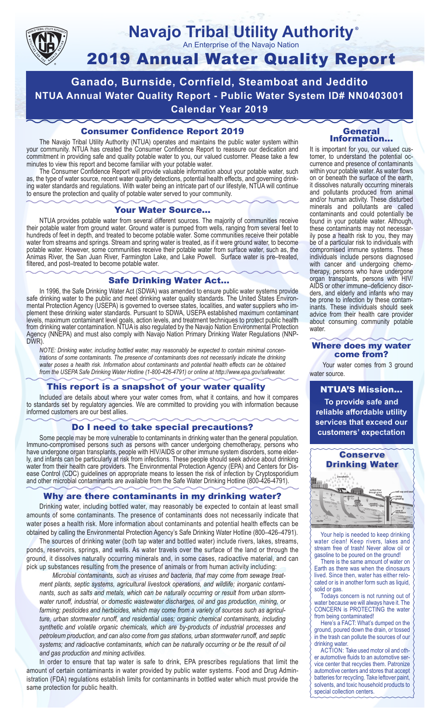

#### **Navajo Tribal Utility Authority** An Enterprise of the Navajo Nation ®

# 2019 Annual Water Quality Report

**Ganado, Burnside, Cornfield, Steamboat and Jeddito NTUA Annual Water Quality Report - Public Water System ID# NN0403001 Calendar Year 2019**

# Consumer Confidence Report 2019

The Navajo Tribal Utility Authority (NTUA) operates and maintains the public water system within your community. NTUA has created the Consumer Confidence Report to reassure our dedication and commitment in providing safe and quality potable water to you, our valued customer. Please take a few minutes to view this report and become familiar with your potable water.

The Consumer Confidence Report will provide valuable information about your potable water, such as, the type of water source, recent water quality detections, potential health effects, and governing drinking water standards and regulations. With water being an intricate part of our lifestyle, NTUA will continue to ensure the protection and quality of potable water served to your community.

#### Your Water Source…

NTUA provides potable water from several different sources. The majority of communities receive their potable water from ground water. Ground water is pumped from wells, ranging from several feet to hundreds of feet in depth, and treated to become potable water. Some communities receive their potable water from streams and springs. Stream and spring water is treated, as if it were ground water, to become potable water. However, some communities receive their potable water from surface water, such as, the Animas River, the San Juan River, Farmington Lake, and Lake Powell. Surface water is pre–treated, filtered, and post–treated to become potable water.

#### Safe Drinking Water Act…

In 1996, the Safe Drinking Water Act (SDWA) was amended to ensure public water systems provide safe drinking water to the public and meet drinking water quality standards. The United States Environmental Protection Agency (USEPA) is governed to oversee states, localities, and water suppliers who implement these drinking water standards. Pursuant to SDWA, USEPA established maximum contaminant levels, maximum contaminant level goals, action levels, and treatment techniques to protect public health from drinking water contamination. NTUA is also regulated by the Navajo Nation Environmental Protection Agency (NNEPA) and must also comply with Navajo Nation Primary Drinking Water Regulations (NNP-DWR)

*NOTE: Drinking water, including bottled water, may reasonably be expected to contain minimal concentrations of some contaminants. The presence of contaminants does not necessarily indicate the drinking water poses a health risk. Information about contaminants and potential health effects can be obtained from the USEPA Safe Drinking Water Hotline (1-800-426-4791) or online at http://www.epa.gov/safewater.*

## This report is a snapshot of your water quality

Included are details about where your water comes from, what it contains, and how it compares to standards set by regulatory agencies. We are committed to providing you with information because informed customers are our best allies.

#### Do I need to take special precautions?

Some people may be more vulnerable to contaminants in drinking water than the general population. Immuno-compromised persons such as persons with cancer undergoing chemotherapy, persons who have undergone organ transplants, people with HIV/AIDS or other immune system disorders, some elderly, and infants can be particularly at risk from infections. These people should seek advice about drinking water from their health care providers. The Environmental Protection Agency (EPA) and Centers for Disease Control (CDC) guidelines on appropriate means to lessen the risk of infection by Cryptosporidium and other microbial contaminants are available from the Safe Water Drinking Hotline (800-426-4791).

## Why are there contaminants in my drinking water?

Drinking water, including bottled water, may reasonably be expected to contain at least small amounts of some contaminants. The presence of contaminants does not necessarily indicate that water poses a health risk. More information about contaminants and potential health effects can be obtained by calling the Environmental Protection Agency's Safe Drinking Water Hotline (800–426–4791).

The sources of drinking water (both tap water and bottled water) include rivers, lakes, streams, ponds, reservoirs, springs, and wells. As water travels over the surface of the land or through the ground, it dissolves naturally occurring minerals and, in some cases, radioactive material, and can pick up substances resulting from the presence of animals or from human activity including:

*Microbial contaminants, such as viruses and bacteria, that may come from sewage treatment plants, septic systems, agricultural livestock operations, and wildlife; inorganic contaminants, such as salts and metals, which can be naturally occurring or result from urban stormwater runoff, industrial, or domestic wastewater discharges, oil and gas production, mining, or farming; pesticides and herbicides, which may come from a variety of sources such as agriculture, urban stormwater runoff, and residential uses; organic chemical contaminants, including synthetic and volatile organic chemicals, which are by-products of industrial processes and petroleum production, and can also come from gas stations, urban stormwater runoff, and septic systems; and radioactive contaminants, which can be naturally occurring or be the result of oil and gas production and mining activities.*

In order to ensure that tap water is safe to drink, EPA prescribes regulations that limit the amount of certain contaminants in water provided by public water systems. Food and Drug Administration (FDA) regulations establish limits for contaminants in bottled water which must provide the same protection for public health.

#### General Information…

It is important for you, our valued customer, to understand the potential occurrence and presence of contaminants within your potable water. As water flows on or beneath the surface of the earth, it dissolves naturally occurring minerals and pollutants produced from animal and/or human activity. These disturbed minerals and pollutants are called contaminants and could potentially be found in your potable water. Although, these contaminants may not necessarily pose a health risk to you, they may be of a particular risk to individuals with compromised immune systems. These individuals include persons diagnosed with cancer and undergoing chemo-<br>therapy, persons who have undergone organ transplants, persons with HIV/ AIDS or other immune–deficiency disor- ders, and elderly and infants who may be prone to infection by these contam- inants. These individuals should seek advice from their health care provider about consuming community potable water.

#### Where does my water come from?

Your water comes from 3 ground water source.

NTUA'S Mission... **To provide safe and reliable affordable utility services that exceed our customers' expectation**



Your help is needed to keep drinking water clean! Keep rivers, lakes and stream free of trash! Never allow oil or gasoline to be poured on the ground!

There is the same amount of water on Earth as there was when the dinosaurs lived. Since then, water has either relocated or is in another form such as liquid, solid or gas.

Todays concern is not running out of water because we will always have it. The CONCERN is PROTECTING the water from being contaminated!

Here's a FACT: What's dumped on the ground, poured down the drain, or tossed in the trash can pollute the sources of our drinking water.

ACTION: Take used motor oil and other automotive fluids to an automotive service center that recycles them. Patronize automotive centers and stores that accept batteries for recycling. Take leftover paint, solvents, and toxic household products to special collection centers.